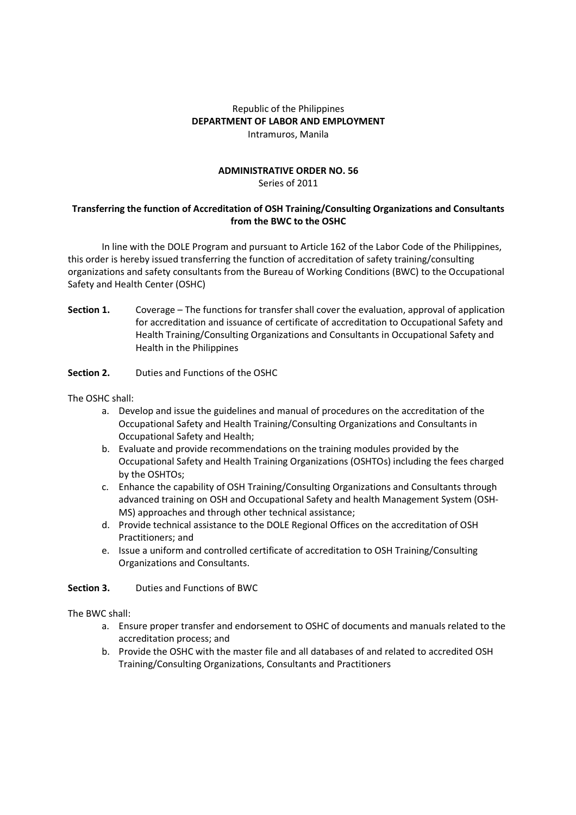## Republic of the Philippines **DEPARTMENT OF LABOR AND EMPLOYMENT**  Intramuros, Manila

## **ADMINISTRATIVE ORDER NO. 56**  Series of 2011

# **Transferring the function of Accreditation of OSH Training/Consulting Organizations and Consultants from the BWC to the OSHC**

 In line with the DOLE Program and pursuant to Article 162 of the Labor Code of the Philippines, this order is hereby issued transferring the function of accreditation of safety training/consulting organizations and safety consultants from the Bureau of Working Conditions (BWC) to the Occupational Safety and Health Center (OSHC)

- **Section 1.** Coverage The functions for transfer shall cover the evaluation, approval of application for accreditation and issuance of certificate of accreditation to Occupational Safety and Health Training/Consulting Organizations and Consultants in Occupational Safety and Health in the Philippines
- **Section 2.** Duties and Functions of the OSHC

The OSHC shall:

- a. Develop and issue the guidelines and manual of procedures on the accreditation of the Occupational Safety and Health Training/Consulting Organizations and Consultants in Occupational Safety and Health;
- b. Evaluate and provide recommendations on the training modules provided by the Occupational Safety and Health Training Organizations (OSHTOs) including the fees charged by the OSHTOs;
- c. Enhance the capability of OSH Training/Consulting Organizations and Consultants through advanced training on OSH and Occupational Safety and health Management System (OSH-MS) approaches and through other technical assistance;
- d. Provide technical assistance to the DOLE Regional Offices on the accreditation of OSH Practitioners; and
- e. Issue a uniform and controlled certificate of accreditation to OSH Training/Consulting Organizations and Consultants.

#### **Section 3.** Duties and Functions of BWC

The BWC shall:

- a. Ensure proper transfer and endorsement to OSHC of documents and manuals related to the accreditation process; and
- b. Provide the OSHC with the master file and all databases of and related to accredited OSH Training/Consulting Organizations, Consultants and Practitioners